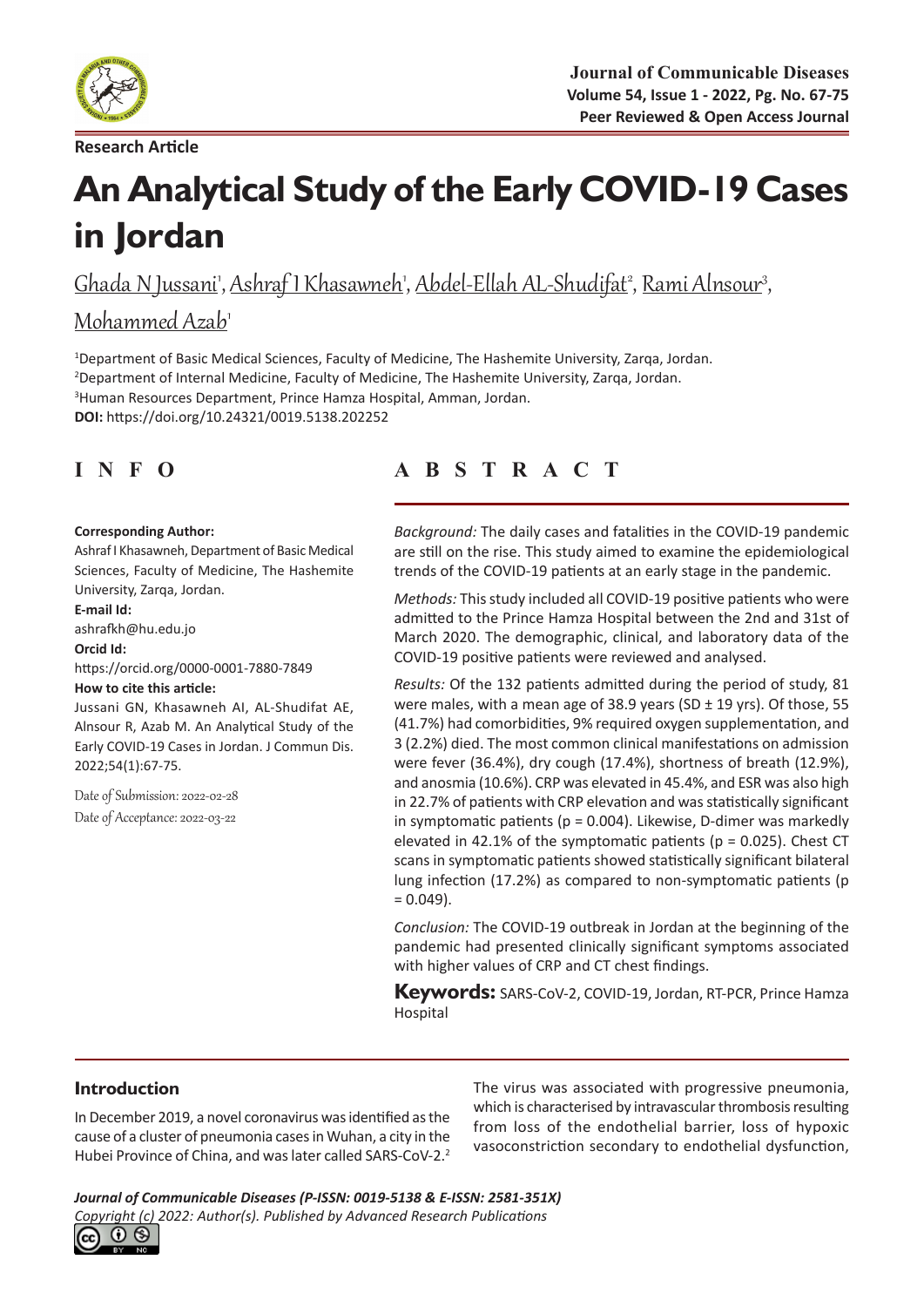

**Research Article**

# **An Analytical Study of the Early COVID-19 Cases in Jordan**

<u>Ghada N Jussani', Ashraf 1 Khasawneh', Abdel-Ellah AL-Shudifat<sup>2</sup>, Rami Alnsour<sup>3</sup></u> ,

# Mohammed Azab<sup>1</sup>

 Department of Basic Medical Sciences, Faculty of Medicine, The Hashemite University, Zarqa, Jordan. Department of Internal Medicine, Faculty of Medicine, The Hashemite University, Zarqa, Jordan. Human Resources Department, Prince Hamza Hospital, Amman, Jordan. **DOI:** https://doi.org/10.24321/0019.5138.202252

#### **Corresponding Author:**

Ashraf I Khasawneh, Department of Basic Medical Sciences, Faculty of Medicine, The Hashemite University, Zarqa, Jordan.

#### **E-mail Id:**

ashrafkh@hu.edu.jo

#### **Orcid Id:**

https://orcid.org/0000-0001-7880-7849

#### **How to cite this article:**

Jussani GN, Khasawneh AI, AL-Shudifat AE, Alnsour R, Azab M. An Analytical Study of the Early COVID-19 Cases in Jordan. J Commun Dis. 2022;54(1):67-75.

Date of Submission: 2022-02-28 Date of Acceptance: 2022-03-22

# **INFO ABSTRACT**

*Background:* The daily cases and fatalities in the COVID-19 pandemic are still on the rise. This study aimed to examine the epidemiological trends of the COVID-19 patients at an early stage in the pandemic.

*Methods:* This study included all COVID-19 positive patients who were admitted to the Prince Hamza Hospital between the 2nd and 31st of March 2020. The demographic, clinical, and laboratory data of the COVID-19 positive patients were reviewed and analysed.

*Results:* Of the 132 patients admitted during the period of study, 81 were males, with a mean age of 38.9 years (SD  $\pm$  19 yrs). Of those, 55 (41.7%) had comorbidities, 9% required oxygen supplementation, and 3 (2.2%) died. The most common clinical manifestations on admission were fever (36.4%), dry cough (17.4%), shortness of breath (12.9%), and anosmia (10.6%). CRP was elevated in 45.4%, and ESR was also high in 22.7% of patients with CRP elevation and was statistically significant in symptomatic patients ( $p = 0.004$ ). Likewise, D-dimer was markedly elevated in 42.1% of the symptomatic patients ( $p = 0.025$ ). Chest CT scans in symptomatic patients showed statistically significant bilateral lung infection (17.2%) as compared to non-symptomatic patients (p  $= 0.049$ ).

*Conclusion:* The COVID-19 outbreak in Jordan at the beginning of the pandemic had presented clinically significant symptoms associated with higher values of CRP and CT chest findings.

**Keywords:** SARS-CoV-2, COVID-19, Jordan, RT-PCR, Prince Hamza Hospital

# **Introduction**

In December 2019, a novel coronavirus was identified as the cause of a cluster of pneumonia cases in Wuhan, a city in the Hubei Province of China, and was later called SARS-CoV-2.<sup>2</sup> The virus was associated with progressive pneumonia, which is characterised by intravascular thrombosis resulting from loss of the endothelial barrier, loss of hypoxic vasoconstriction secondary to endothelial dysfunction,

*Journal of Communicable Diseases (P-ISSN: 0019-5138 & E-ISSN: 2581-351X) Copyright (c) 2022: Author(s). Published by [Advanced Research Publications](http://advancedresearchpublications.com/)*

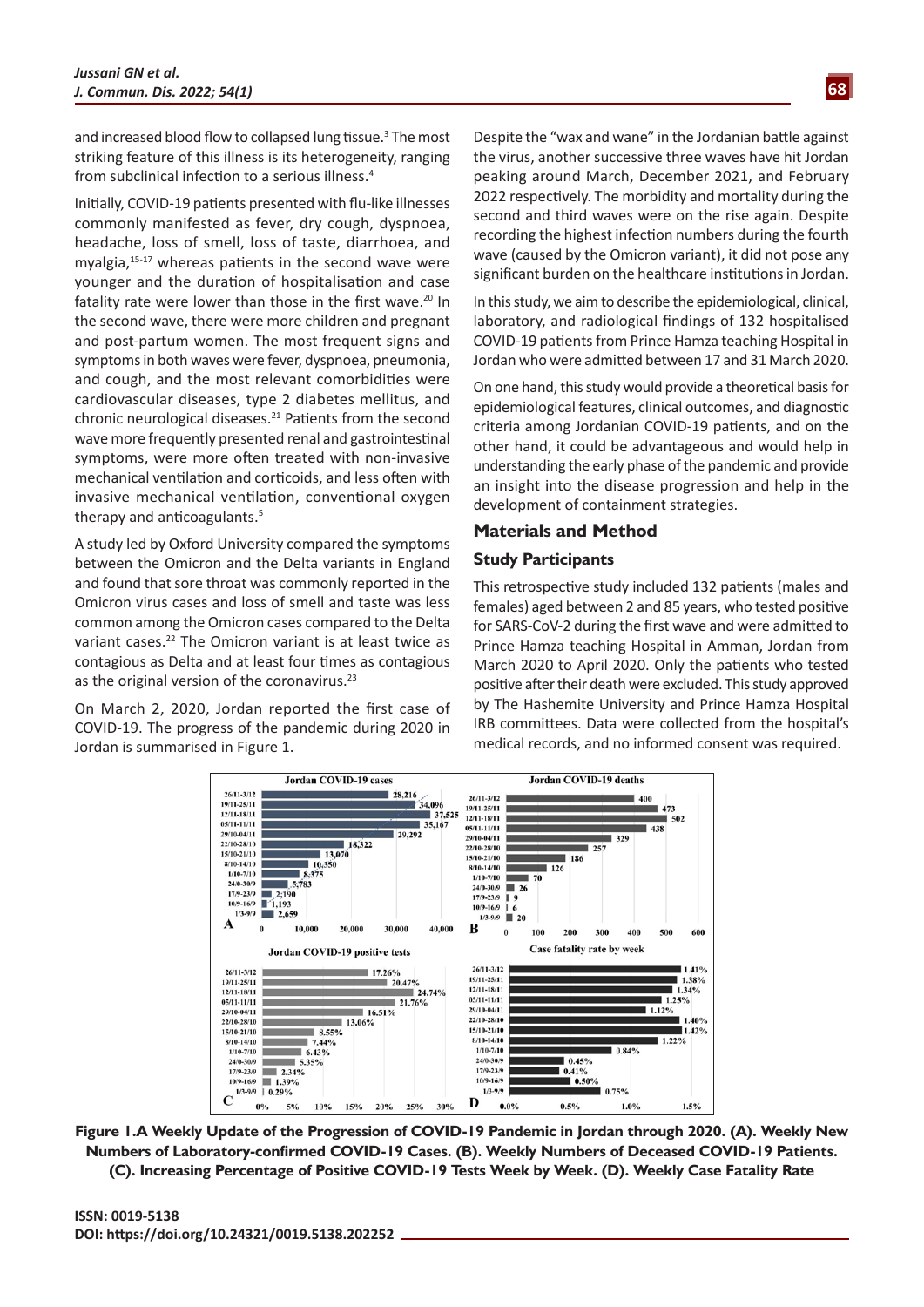and increased blood flow to collapsed lung tissue.<sup>3</sup> The most striking feature of this illness is its heterogeneity, ranging from subclinical infection to a serious illness.4

Initially, COVID-19 patients presented with flu-like illnesses commonly manifested as fever, dry cough, dyspnoea, headache, loss of smell, loss of taste, diarrhoea, and myalgia,15-17 whereas patients in the second wave were younger and the duration of hospitalisation and case fatality rate were lower than those in the first wave. $20$  In the second wave, there were more children and pregnant and post-partum women. The most frequent signs and symptoms in both waves were fever, dyspnoea, pneumonia, and cough, and the most relevant comorbidities were cardiovascular diseases, type 2 diabetes mellitus, and chronic neurological diseases.<sup>21</sup> Patients from the second wave more frequently presented renal and gastrointestinal symptoms, were more often treated with non-invasive mechanical ventilation and corticoids, and less often with invasive mechanical ventilation, conventional oxygen therapy and anticoagulants.5

A study led by Oxford University compared the symptoms between the Omicron and the Delta variants in England and found that sore throat was commonly reported in the Omicron virus cases and loss of smell and taste was less common among the Omicron cases compared to the Delta variant cases.<sup>22</sup> The Omicron variant is at least twice as contagious as Delta and at least four times as contagious as the original version of the coronavirus.<sup>23</sup>

On March 2, 2020, Jordan reported the first case of COVID-19. The progress of the pandemic during 2020 in Jordan is summarised in Figure 1.

Despite the "wax and wane" in the Jordanian battle against the virus, another successive three waves have hit Jordan peaking around March, December 2021, and February 2022 respectively. The morbidity and mortality during the second and third waves were on the rise again. Despite recording the highest infection numbers during the fourth wave (caused by the Omicron variant), it did not pose any significant burden on the healthcare institutions in Jordan.

In this study, we aim to describe the epidemiological, clinical, laboratory, and radiological findings of 132 hospitalised COVID-19 patients from Prince Hamza teaching Hospital in Jordan who were admitted between 17 and 31 March 2020.

On one hand, this study would provide a theoretical basis for epidemiological features, clinical outcomes, and diagnostic criteria among Jordanian COVID-19 patients, and on the other hand, it could be advantageous and would help in understanding the early phase of the pandemic and provide an insight into the disease progression and help in the development of containment strategies.

#### **Materials and Method**

#### **Study Participants**

This retrospective study included 132 patients (males and females) aged between 2 and 85 years, who tested positive for SARS-CoV-2 during the first wave and were admitted to Prince Hamza teaching Hospital in Amman, Jordan from March 2020 to April 2020. Only the patients who tested positive after their death were excluded. This study approved by The Hashemite University and Prince Hamza Hospital IRB committees. Data were collected from the hospital's medical records, and no informed consent was required.



**Figure 1.A Weekly Update of the Progression of COVID-19 Pandemic in Jordan through 2020. (A). Weekly New Numbers of Laboratory-confirmed COVID-19 Cases. (B). Weekly Numbers of Deceased COVID-19 Patients. (C). Increasing Percentage of Positive COVID-19 Tests Week by Week. (D). Weekly Case Fatality Rate**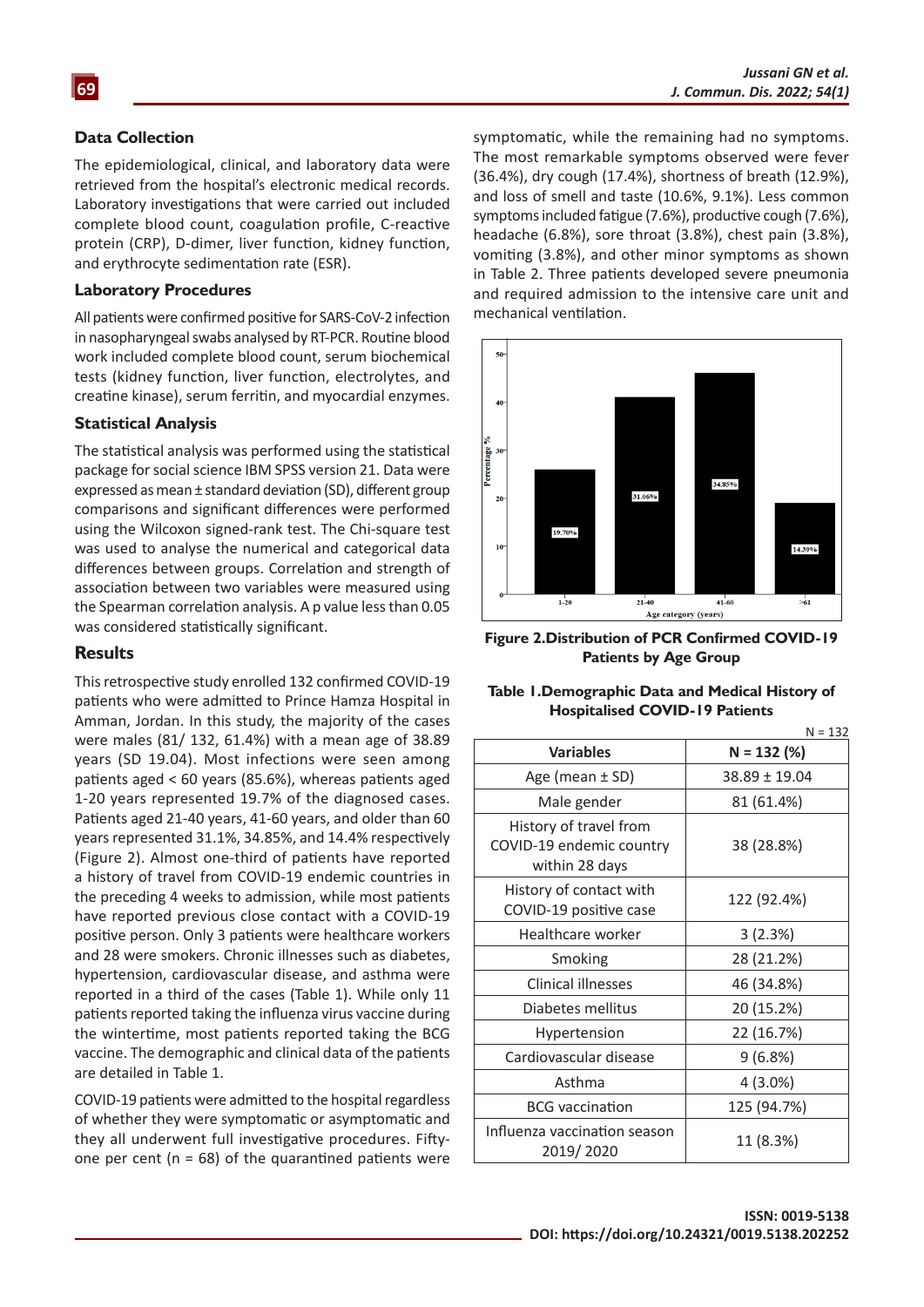#### **Data Collection**

**69**

The epidemiological, clinical, and laboratory data were retrieved from the hospital's electronic medical records. Laboratory investigations that were carried out included complete blood count, coagulation profile, C-reactive protein (CRP), D-dimer, liver function, kidney function, and erythrocyte sedimentation rate (ESR).

#### **Laboratory Procedures**

All patients were confirmed positive for SARS-CoV-2 infection in nasopharyngeal swabs analysed by RT-PCR. Routine blood work included complete blood count, serum biochemical tests (kidney function, liver function, electrolytes, and creatine kinase), serum ferritin, and myocardial enzymes.

#### **Statistical Analysis**

The statistical analysis was performed using the statistical package for social science IBM SPSS version 21. Data were expressed as mean ± standard deviation (SD), different group comparisons and significant differences were performed using the Wilcoxon signed-rank test. The Chi-square test was used to analyse the numerical and categorical data differences between groups. Correlation and strength of association between two variables were measured using the Spearman correlation analysis. A p value less than 0.05 was considered statistically significant.

#### **Results**

This retrospective study enrolled 132 confirmed COVID-19 patients who were admitted to Prince Hamza Hospital in Amman, Jordan. In this study, the majority of the cases were males (81/ 132, 61.4%) with a mean age of 38.89 years (SD 19.04). Most infections were seen among patients aged < 60 years (85.6%), whereas patients aged 1-20 years represented 19.7% of the diagnosed cases. Patients aged 21-40 years, 41-60 years, and older than 60 years represented 31.1%, 34.85%, and 14.4% respectively (Figure 2). Almost one-third of patients have reported a history of travel from COVID-19 endemic countries in the preceding 4 weeks to admission, while most patients have reported previous close contact with a COVID-19 positive person. Only 3 patients were healthcare workers and 28 were smokers. Chronic illnesses such as diabetes, hypertension, cardiovascular disease, and asthma were reported in a third of the cases (Table 1). While only 11 patients reported taking the influenza virus vaccine during the wintertime, most patients reported taking the BCG vaccine. The demographic and clinical data of the patients are detailed in Table 1.

COVID-19 patients were admitted to the hospital regardless of whether they were symptomatic or asymptomatic and they all underwent full investigative procedures. Fiftyone per cent ( $n = 68$ ) of the quarantined patients were symptomatic, while the remaining had no symptoms. The most remarkable symptoms observed were fever (36.4%), dry cough (17.4%), shortness of breath (12.9%), and loss of smell and taste (10.6%, 9.1%). Less common symptoms included fatigue (7.6%), productive cough (7.6%), headache (6.8%), sore throat (3.8%), chest pain (3.8%), vomiting (3.8%), and other minor symptoms as shown in Table 2. Three patients developed severe pneumonia and required admission to the intensive care unit and mechanical ventilation.



**Figure 2.Distribution of PCR Confirmed COVID-19 Patients by Age Group**

| Table 1. Demographic Data and Medical History of |
|--------------------------------------------------|
| <b>Hospitalised COVID-19 Patients</b>            |

|                                                                      | $N = 132$     |
|----------------------------------------------------------------------|---------------|
| <b>Variables</b>                                                     | $N = 132 (%)$ |
| Age (mean ± SD)                                                      | 38.89 ± 19.04 |
| Male gender                                                          | 81 (61.4%)    |
| History of travel from<br>COVID-19 endemic country<br>within 28 days | 38 (28.8%)    |
| History of contact with<br>COVID-19 positive case                    | 122 (92.4%)   |
| Healthcare worker                                                    | 3(2.3%)       |
| Smoking                                                              | 28 (21.2%)    |
| <b>Clinical illnesses</b>                                            | 46 (34.8%)    |
| Diabetes mellitus                                                    | 20 (15.2%)    |
| Hypertension                                                         | 22 (16.7%)    |
| Cardiovascular disease                                               | 9(6.8%)       |
| Asthma                                                               | 4 (3.0%)      |
| <b>BCG</b> vaccination                                               | 125 (94.7%)   |
| Influenza vaccination season<br>2019/2020                            | 11 (8.3%)     |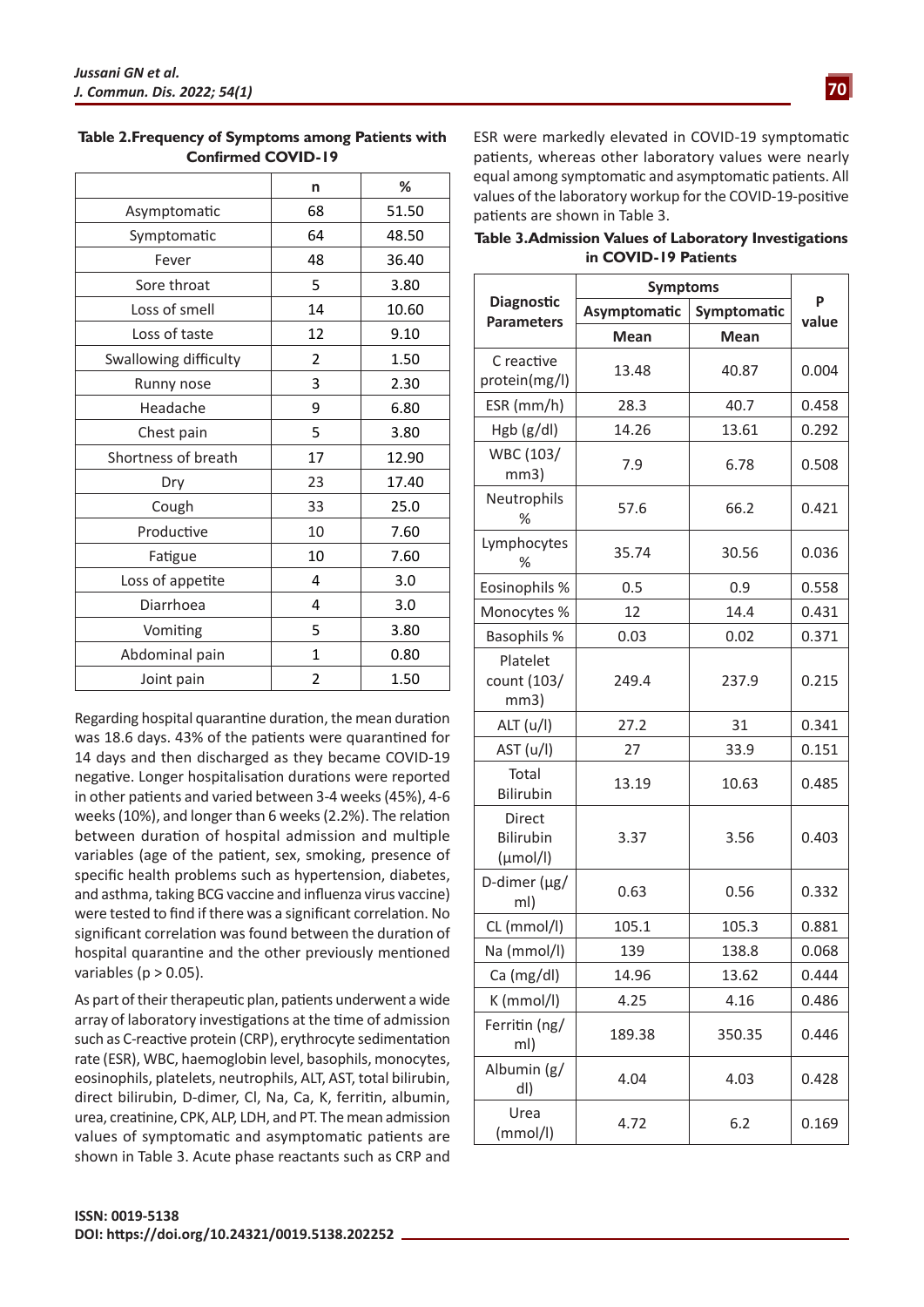|                       | n              | %     |
|-----------------------|----------------|-------|
| Asymptomatic          | 68             | 51.50 |
| Symptomatic           | 64             | 48.50 |
| Fever                 | 48             | 36.40 |
| Sore throat           | 5              | 3.80  |
| Loss of smell         | 14             | 10.60 |
| Loss of taste         | 12             | 9.10  |
| Swallowing difficulty | $\overline{2}$ | 1.50  |
| Runny nose            | 3              | 2.30  |
| Headache              | 9              | 6.80  |
| Chest pain            | 5              | 3.80  |
| Shortness of breath   | 17             | 12.90 |
| Dry                   | 23             | 17.40 |
| Cough                 | 33             | 25.0  |
| Productive            | 10             | 7.60  |
| Fatigue               | 10             | 7.60  |
| Loss of appetite      | 4              | 3.0   |
| Diarrhoea             | 4              | 3.0   |
| Vomiting              | 5              | 3.80  |
| Abdominal pain        | 1              | 0.80  |
| Joint pain            | 2              | 1.50  |

**Table 2.Frequency of Symptoms among Patients with Confirmed COVID-19**

Regarding hospital quarantine duration, the mean duration was 18.6 days. 43% of the patients were quarantined for 14 days and then discharged as they became COVID-19 negative. Longer hospitalisation durations were reported in other patients and varied between 3-4 weeks (45%), 4-6 weeks (10%), and longer than 6 weeks (2.2%). The relation between duration of hospital admission and multiple variables (age of the patient, sex, smoking, presence of specific health problems such as hypertension, diabetes, and asthma, taking BCG vaccine and influenza virus vaccine) were tested to find if there was a significant correlation. No significant correlation was found between the duration of hospital quarantine and the other previously mentioned variables ( $p > 0.05$ ).

As part of their therapeutic plan, patients underwent a wide array of laboratory investigations at the time of admission such as C-reactive protein (CRP), erythrocyte sedimentation rate (ESR), WBC, haemoglobin level, basophils, monocytes, eosinophils, platelets, neutrophils, ALT, AST, total bilirubin, direct bilirubin, D-dimer, Cl, Na, Ca, K, ferritin, albumin, urea, creatinine, CPK, ALP, LDH, and PT. The mean admission values of symptomatic and asymptomatic patients are shown in Table 3. Acute phase reactants such as CRP and ESR were markedly elevated in COVID-19 symptomatic patients, whereas other laboratory values were nearly equal among symptomatic and asymptomatic patients. All values of the laboratory workup for the COVID-19-positive patients are shown in Table 3.

| Table 3. Admission Values of Laboratory Investigations |  |  |
|--------------------------------------------------------|--|--|
| in COVID-19 Patients                                   |  |  |

|                                                    | <b>Symptoms</b> |             |            |
|----------------------------------------------------|-----------------|-------------|------------|
| <b>Diagnostic</b><br><b>Parameters</b>             | Asymptomatic    | Symptomatic | P<br>value |
|                                                    | <b>Mean</b>     | Mean        |            |
| C reactive<br>protein(mg/l)                        | 13.48           | 40.87       | 0.004      |
| ESR (mm/h)                                         | 28.3            | 40.7        | 0.458      |
| Hgb $(g/d)$                                        | 14.26           | 13.61       | 0.292      |
| WBC (103/<br>mm3)                                  | 7.9             | 6.78        | 0.508      |
| Neutrophils<br>℅                                   | 57.6            | 66.2        | 0.421      |
| Lymphocytes<br>℅                                   | 35.74           | 30.56       | 0.036      |
| Eosinophils %                                      | 0.5             | 0.9         | 0.558      |
| Monocytes %                                        | 12              | 14.4        | 0.431      |
| <b>Basophils %</b>                                 | 0.03            | 0.02        | 0.371      |
| Platelet<br>count (103/<br>mm3)                    | 249.4           | 237.9       | 0.215      |
| ALT(u/l)                                           | 27.2            | 31          | 0.341      |
| AST (u/l)                                          | 27              | 33.9        | 0.151      |
| Total<br>Bilirubin                                 | 13.19           | 10.63       | 0.485      |
| Direct<br><b>Bilirubin</b><br>$(\mu \text{mol/l})$ | 3.37            | 3.56        | 0.403      |
| D-dimer $(\mu g)$<br>ml)                           | 0.63            | 0.56        | 0.332      |
| CL (mmol/l)                                        | 105.1           | 105.3       | 0.881      |
| Na (mmol/l)                                        | 139             | 138.8       | 0.068      |
| Ca (mg/dl)                                         | 14.96           | 13.62       | 0.444      |
| K (mmol/l)                                         | 4.25            | 4.16        | 0.486      |
| Ferritin (ng/<br>ml)                               | 189.38          | 350.35      | 0.446      |
| Albumin (g/<br>dl)                                 | 4.04            | 4.03        | 0.428      |
| Urea<br>(mmol/l)                                   | 4.72            | 6.2         | 0.169      |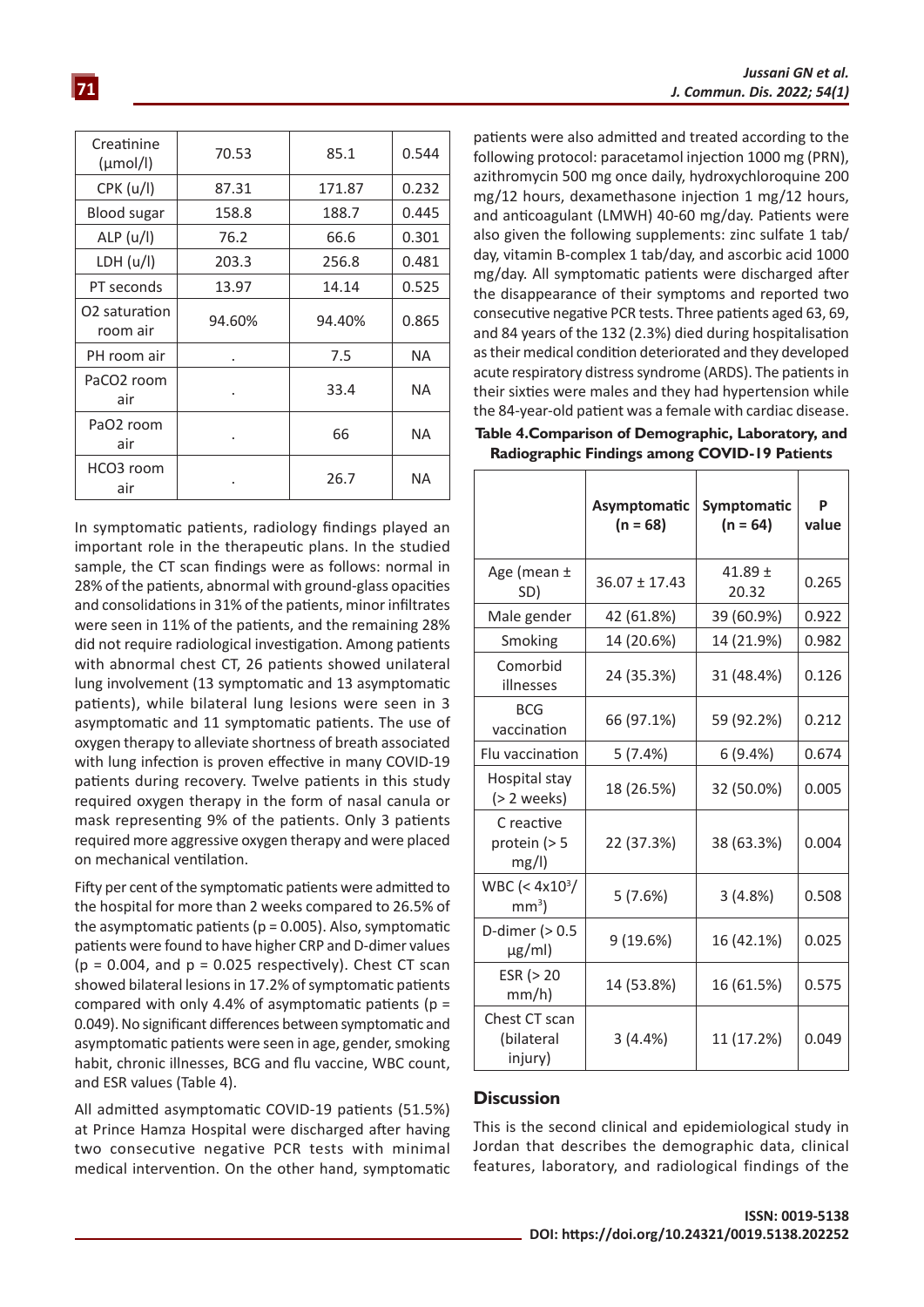| Creatinine<br>$(\mu \text{mol/l})$ | 70.53  | 85.1   | 0.544     |
|------------------------------------|--------|--------|-----------|
| CPK (u/l)                          | 87.31  | 171.87 | 0.232     |
| Blood sugar                        | 158.8  | 188.7  | 0.445     |
| ALP (u/I)                          | 76.2   | 66.6   | 0.301     |
| LDH (u/l)                          | 203.3  | 256.8  | 0.481     |
| PT seconds                         | 13.97  | 14.14  | 0.525     |
| O2 saturation<br>room air          | 94.60% | 94.40% | 0.865     |
| PH room air                        | ٠      | 7.5    | NA.       |
| PaCO <sub>2</sub> room<br>air      |        | 33.4   | <b>NA</b> |
| PaO <sub>2</sub> room<br>air       |        | 66     | ΝA        |
| HCO3 room<br>air                   |        | 26.7   | ΝA        |

In symptomatic patients, radiology findings played an important role in the therapeutic plans. In the studied sample, the CT scan findings were as follows: normal in 28% of the patients, abnormal with ground-glass opacities and consolidations in 31% of the patients, minor infiltrates were seen in 11% of the patients, and the remaining 28% did not require radiological investigation. Among patients with abnormal chest CT, 26 patients showed unilateral lung involvement (13 symptomatic and 13 asymptomatic patients), while bilateral lung lesions were seen in 3 asymptomatic and 11 symptomatic patients. The use of oxygen therapy to alleviate shortness of breath associated with lung infection is proven effective in many COVID-19 patients during recovery. Twelve patients in this study required oxygen therapy in the form of nasal canula or mask representing 9% of the patients. Only 3 patients required more aggressive oxygen therapy and were placed on mechanical ventilation.

Fifty per cent of the symptomatic patients were admitted to the hospital for more than 2 weeks compared to 26.5% of the asymptomatic patients ( $p = 0.005$ ). Also, symptomatic patients were found to have higher CRP and D-dimer values  $(p = 0.004,$  and  $p = 0.025$  respectively). Chest CT scan showed bilateral lesions in 17.2% of symptomatic patients compared with only 4.4% of asymptomatic patients ( $p =$ 0.049). No significant differences between symptomatic and asymptomatic patients were seen in age, gender, smoking habit, chronic illnesses, BCG and flu vaccine, WBC count, and ESR values (Table 4).

All admitted asymptomatic COVID-19 patients (51.5%) at Prince Hamza Hospital were discharged after having two consecutive negative PCR tests with minimal medical intervention. On the other hand, symptomatic patients were also admitted and treated according to the following protocol: paracetamol injection 1000 mg (PRN), azithromycin 500 mg once daily, hydroxychloroquine 200 mg/12 hours, dexamethasone injection 1 mg/12 hours, and anticoagulant (LMWH) 40-60 mg/day. Patients were also given the following supplements: zinc sulfate 1 tab/ day, vitamin B-complex 1 tab/day, and ascorbic acid 1000 mg/day. All symptomatic patients were discharged after the disappearance of their symptoms and reported two consecutive negative PCR tests. Three patients aged 63, 69, and 84 years of the 132 (2.3%) died during hospitalisation as their medical condition deteriorated and they developed acute respiratory distress syndrome (ARDS). The patients in their sixties were males and they had hypertension while the 84-year-old patient was a female with cardiac disease.

#### **Table 4.Comparison of Demographic, Laboratory, and Radiographic Findings among COVID-19 Patients**

|                                        | Asymptomatic<br>$(n = 68)$ | Symptomatic<br>$(n = 64)$ | P<br>value |
|----------------------------------------|----------------------------|---------------------------|------------|
| Age (mean ±<br>SD)                     | $36.07 \pm 17.43$          | 41.89 $\pm$<br>20.32      | 0.265      |
| Male gender                            | 42 (61.8%)                 | 39 (60.9%)                | 0.922      |
| Smoking                                | 14 (20.6%)                 | 14 (21.9%)                | 0.982      |
| Comorbid<br>illnesses                  | 24 (35.3%)                 | 31 (48.4%)                | 0.126      |
| <b>BCG</b><br>vaccination              | 66 (97.1%)                 | 59 (92.2%)                | 0.212      |
| Flu vaccination                        | 5(7.4%)                    | 6(9.4%)                   | 0.674      |
| Hospital stay<br>$(> 2$ weeks)         | 18 (26.5%)                 | 32 (50.0%)                | 0.005      |
| C reactive<br>protein $(> 5$<br>mg/l)  | 22 (37.3%)                 | 38 (63.3%)                | 0.004      |
| WBC (< 4x10 <sup>3</sup> /<br>$mm3$ )  | 5(7.6%)                    | 3(4.8%)                   | 0.508      |
| D-dimer $(>0.5$<br>$\mu$ g/ml)         | 9 (19.6%)                  | 16 (42.1%)                | 0.025      |
| ESR $(> 20$<br>mm/h)                   | 14 (53.8%)                 | 16 (61.5%)                | 0.575      |
| Chest CT scan<br>(bilateral<br>injury) | 3(4.4%)                    | 11 (17.2%)                | 0.049      |

#### **Discussion**

This is the second clinical and epidemiological study in Jordan that describes the demographic data, clinical features, laboratory, and radiological findings of the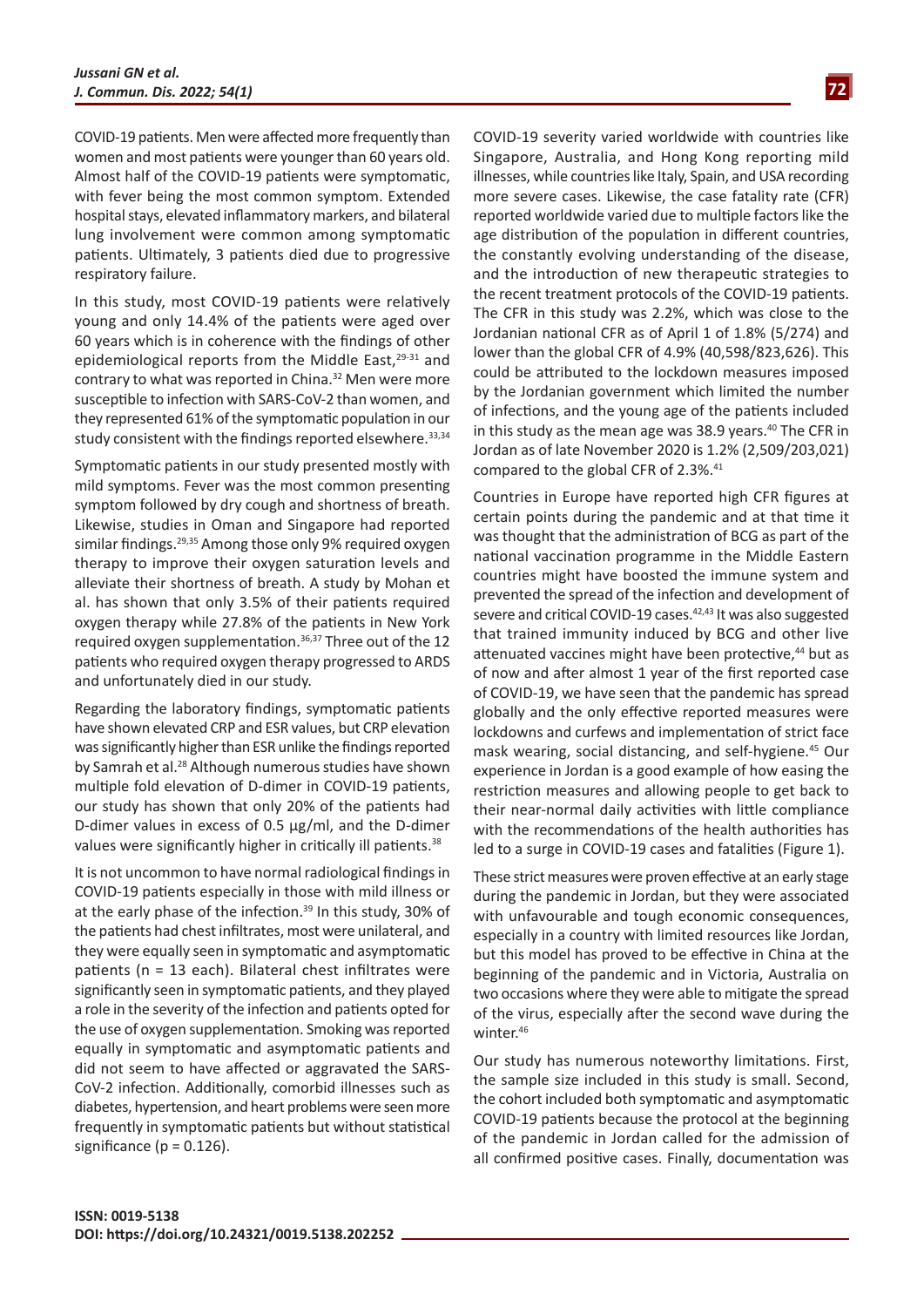COVID-19 patients. Men were affected more frequently than women and most patients were younger than 60 years old. Almost half of the COVID-19 patients were symptomatic, with fever being the most common symptom. Extended hospital stays, elevated inflammatory markers, and bilateral lung involvement were common among symptomatic patients. Ultimately, 3 patients died due to progressive respiratory failure.

In this study, most COVID-19 patients were relatively young and only 14.4% of the patients were aged over 60 years which is in coherence with the findings of other epidemiological reports from the Middle East,<sup>29-31</sup> and contrary to what was reported in China.<sup>32</sup> Men were more susceptible to infection with SARS-CoV-2 than women, and they represented 61% of the symptomatic population in our study consistent with the findings reported elsewhere.<sup>33,34</sup>

Symptomatic patients in our study presented mostly with mild symptoms. Fever was the most common presenting symptom followed by dry cough and shortness of breath. Likewise, studies in Oman and Singapore had reported similar findings.29,35 Among those only 9% required oxygen therapy to improve their oxygen saturation levels and alleviate their shortness of breath. A study by Mohan et al. has shown that only 3.5% of their patients required oxygen therapy while 27.8% of the patients in New York required oxygen supplementation.36,37 Three out of the 12 patients who required oxygen therapy progressed to ARDS and unfortunately died in our study.

Regarding the laboratory findings, symptomatic patients have shown elevated CRP and ESR values, but CRP elevation was significantly higher than ESR unlike the findings reported by Samrah et al.28 Although numerous studies have shown multiple fold elevation of D-dimer in COVID-19 patients, our study has shown that only 20% of the patients had D-dimer values in excess of 0.5 µg/ml, and the D-dimer values were significantly higher in critically ill patients.<sup>38</sup>

It is not uncommon to have normal radiological findings in COVID-19 patients especially in those with mild illness or at the early phase of the infection.<sup>39</sup> In this study, 30% of the patients had chest infiltrates, most were unilateral, and they were equally seen in symptomatic and asymptomatic patients (n = 13 each). Bilateral chest infiltrates were significantly seen in symptomatic patients, and they played a role in the severity of the infection and patients opted for the use of oxygen supplementation. Smoking was reported equally in symptomatic and asymptomatic patients and did not seem to have affected or aggravated the SARS-CoV-2 infection. Additionally, comorbid illnesses such as diabetes, hypertension, and heart problems were seen more frequently in symptomatic patients but without statistical significance ( $p = 0.126$ ).

COVID-19 severity varied worldwide with countries like Singapore, Australia, and Hong Kong reporting mild illnesses, while countries like Italy, Spain, and USA recording more severe cases. Likewise, the case fatality rate (CFR) reported worldwide varied due to multiple factors like the age distribution of the population in different countries, the constantly evolving understanding of the disease, and the introduction of new therapeutic strategies to the recent treatment protocols of the COVID-19 patients. The CFR in this study was 2.2%, which was close to the Jordanian national CFR as of April 1 of 1.8% (5/274) and lower than the global CFR of 4.9% (40,598/823,626). This could be attributed to the lockdown measures imposed by the Jordanian government which limited the number of infections, and the young age of the patients included in this study as the mean age was 38.9 years.<sup>40</sup> The CFR in Jordan as of late November 2020 is 1.2% (2,509/203,021) compared to the global CFR of 2.3%.<sup>41</sup>

Countries in Europe have reported high CFR figures at certain points during the pandemic and at that time it was thought that the administration of BCG as part of the national vaccination programme in the Middle Eastern countries might have boosted the immune system and prevented the spread of the infection and development of severe and critical COVID-19 cases.<sup>42,43</sup> It was also suggested that trained immunity induced by BCG and other live attenuated vaccines might have been protective,<sup>44</sup> but as of now and after almost 1 year of the first reported case of COVID-19, we have seen that the pandemic has spread globally and the only effective reported measures were lockdowns and curfews and implementation of strict face mask wearing, social distancing, and self-hygiene.<sup>45</sup> Our experience in Jordan is a good example of how easing the restriction measures and allowing people to get back to their near-normal daily activities with little compliance with the recommendations of the health authorities has led to a surge in COVID-19 cases and fatalities (Figure 1).

These strict measures were proven effective at an early stage during the pandemic in Jordan, but they were associated with unfavourable and tough economic consequences, especially in a country with limited resources like Jordan, but this model has proved to be effective in China at the beginning of the pandemic and in Victoria, Australia on two occasions where they were able to mitigate the spread of the virus, especially after the second wave during the winter.<sup>46</sup>

Our study has numerous noteworthy limitations. First, the sample size included in this study is small. Second, the cohort included both symptomatic and asymptomatic COVID-19 patients because the protocol at the beginning of the pandemic in Jordan called for the admission of all confirmed positive cases. Finally, documentation was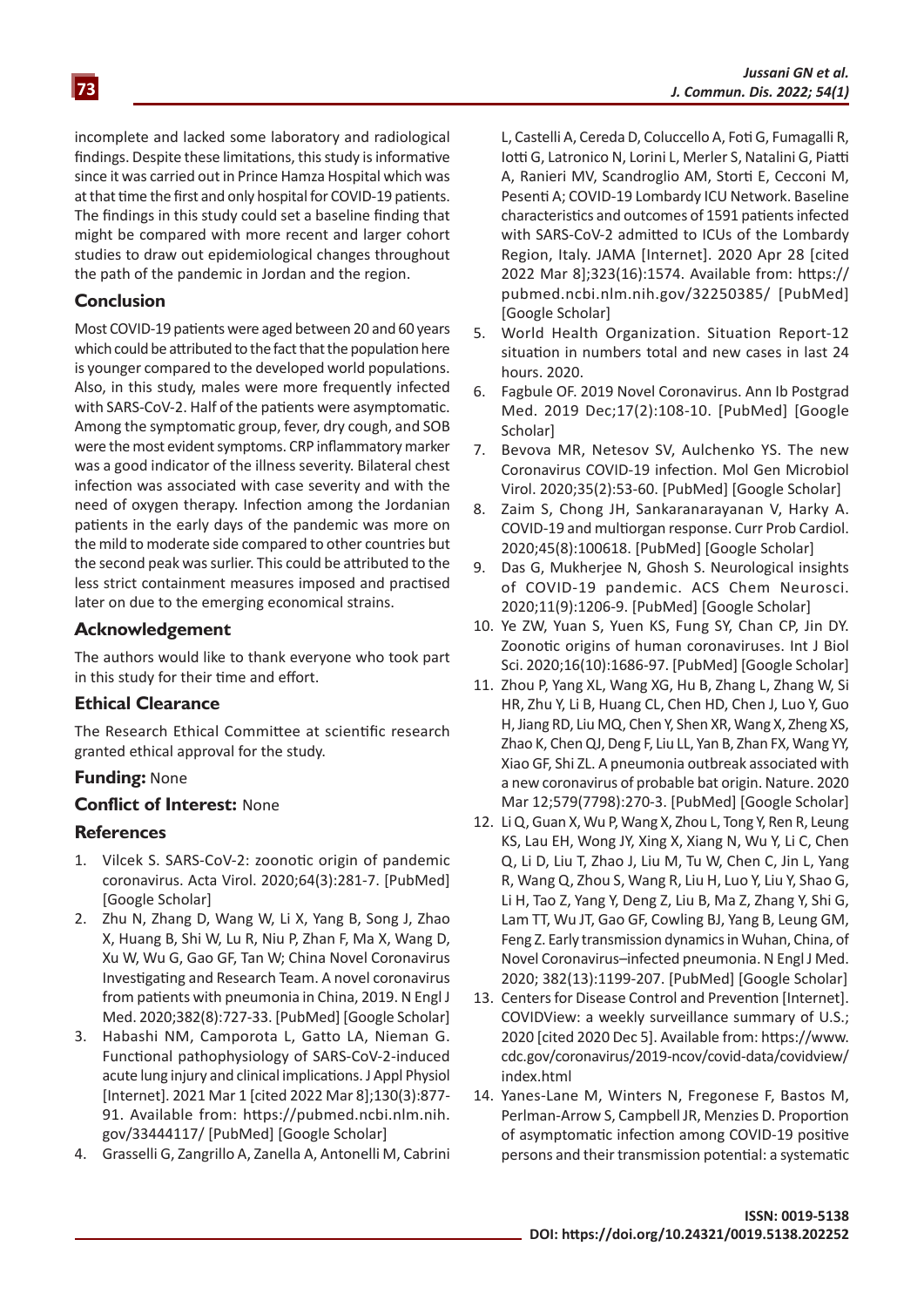incomplete and lacked some laboratory and radiological findings. Despite these limitations, this study is informative since it was carried out in Prince Hamza Hospital which was at that time the first and only hospital for COVID-19 patients. The findings in this study could set a baseline finding that might be compared with more recent and larger cohort studies to draw out epidemiological changes throughout the path of the pandemic in Jordan and the region.

### **Conclusion**

Most COVID-19 patients were aged between 20 and 60 years which could be attributed to the fact that the population here is younger compared to the developed world populations. Also, in this study, males were more frequently infected with SARS-CoV-2. Half of the patients were asymptomatic. Among the symptomatic group, fever, dry cough, and SOB were the most evident symptoms. CRP inflammatory marker was a good indicator of the illness severity. Bilateral chest infection was associated with case severity and with the need of oxygen therapy. Infection among the Jordanian patients in the early days of the pandemic was more on the mild to moderate side compared to other countries but the second peak was surlier. This could be attributed to the less strict containment measures imposed and practised later on due to the emerging economical strains.

### **Acknowledgement**

The authors would like to thank everyone who took part in this study for their time and effort.

#### **Ethical Clearance**

The Research Ethical Committee at scientific research granted ethical approval for the study.

# **Funding:** None

# **Conflict of Interest:** None

#### **References**

- 1. Vilcek S. SARS-CoV-2: zoonotic origin of pandemic coronavirus. Acta Virol. 2020;64(3):281-7. [[PubMed](https://pubmed.ncbi.nlm.nih.gov/32985202/)] [\[Google Scholar](https://scholar.google.com/scholar?hl=en&as_sdt=0%2C5&q=SARS-CoV-2%3A+Zoonotic+origin+of+pandemic+coronavirus&btnG=)]
- 2. Zhu N, Zhang D, Wang W, Li X, Yang B, Song J, Zhao X, Huang B, Shi W, Lu R, Niu P, Zhan F, Ma X, Wang D, Xu W, Wu G, Gao GF, Tan W; China Novel Coronavirus Investigating and Research Team. A novel coronavirus from patients with pneumonia in China, 2019. N Engl J Med. 2020;382(8):727-33. [[PubMed](https://pubmed.ncbi.nlm.nih.gov/31978945/)] [\[Google Scholar](https://scholar.google.com/scholar?hl=en&as_sdt=0%2C5&q=A+novel+coronavirus+from+patients+with+pneumonia+in+China%2C+2019&btnG=)]
- 3. Habashi NM, Camporota L, Gatto LA, Nieman G. Functional pathophysiology of SARS-CoV-2-induced acute lung injury and clinical implications. J Appl Physiol [Internet]. 2021 Mar 1 [cited 2022 Mar 8];130(3):877- 91. Available from: https://pubmed.ncbi.nlm.nih. gov/33444117/ [\[PubMed\]](https://pubmed.ncbi.nlm.nih.gov/33444117/) [\[Google Scholar](https://scholar.google.com/scholar?hl=en&as_sdt=0%2C5&q=Functional+pathophysiology+of+SARS-CoV-2-induced+acute+lung+injury+and+clinical+implications&btnG=)]
- 4. Grasselli G, Zangrillo A, Zanella A, Antonelli M, Cabrini

L, Castelli A, Cereda D, Coluccello A, Foti G, Fumagalli R, Iotti G, Latronico N, Lorini L, Merler S, Natalini G, Piatti A, Ranieri MV, Scandroglio AM, Storti E, Cecconi M, Pesenti A; COVID-19 Lombardy ICU Network. Baseline characteristics and outcomes of 1591 patients infected with SARS-CoV-2 admitted to ICUs of the Lombardy Region, Italy. JAMA [Internet]. 2020 Apr 28 [cited 2022 Mar 8];323(16):1574. Available from: [https://](https://pubmed.ncbi.nlm.nih.gov/32250385/) [pubmed.ncbi.nlm.nih.gov/32250385/](https://pubmed.ncbi.nlm.nih.gov/32250385/) [[PubMed](https://pubmed.ncbi.nlm.nih.gov/32250385/)] [\[Google Scholar](https://scholar.google.com/scholar?hl=en&as_sdt=0%2C5&q=Baseline+Characteristics+and+Outcomes+of+1591+Patients+Infected+With+SARS-CoV-2+Admitted+to+ICUs+of+the+Lombardy+Region%2C+Italy&btnG=)]

- 5. World Health Organization. Situation Report-12 situation in numbers total and new cases in last 24 hours. 2020.
- 6. Fagbule OF. 2019 Novel Coronavirus. Ann Ib Postgrad Med. 2019 Dec;17(2):108-10. [\[PubMed](https://pubmed.ncbi.nlm.nih.gov/32669985/)] [\[Google](https://scholar.google.com/scholar?hl=en&as_sdt=0%2C5&q=Fagbule+OF.+2019+NOVEL+CORONAVIRUS&btnG=) [Scholar\]](https://scholar.google.com/scholar?hl=en&as_sdt=0%2C5&q=Fagbule+OF.+2019+NOVEL+CORONAVIRUS&btnG=)
- 7. Bevova MR, Netesov SV, Aulchenko YS. The new Coronavirus COVID-19 infection. Mol Gen Microbiol Virol. 2020;35(2):53-60. [[PubMed](https://pubmed.ncbi.nlm.nih.gov/32929302/)] [[Google Scholar](https://scholar.google.com/scholar?hl=en&as_sdt=0%2C5&q=10.3103%2FS0891416820020044&btnG=)]
- 8. Zaim S, Chong JH, Sankaranarayanan V, Harky A. COVID-19 and multiorgan response. Curr Prob Cardiol. 2020;45(8):100618. [[PubMed\]](https://pubmed.ncbi.nlm.nih.gov/32439197/) [[Google Scholar](https://scholar.google.com/scholar?hl=en&as_sdt=0%2C5&q=COVID-19+and+Multiorgan+Response&btnG=)]
- 9. Das G, Mukherjee N, Ghosh S. Neurological insights of COVID-19 pandemic. ACS Chem Neurosci. 2020;11(9):1206-9. [\[PubMed\]](https://pubmed.ncbi.nlm.nih.gov/32320211/) [\[Google Scholar](https://scholar.google.com/scholar?hl=en&as_sdt=0%2C5&q=Neurological+Insights+of+COVID-19+Pandemic&btnG=)]
- 10. Ye ZW, Yuan S, Yuen KS, Fung SY, Chan CP, Jin DY. Zoonotic origins of human coronaviruses. Int J Biol Sci. 2020;16(10):1686-97. [\[PubMed](https://pubmed.ncbi.nlm.nih.gov/32226286/)] [[Google Scholar](https://scholar.google.com/scholar?hl=en&as_sdt=0%2C5&q=Zoonotic+origins+of+human+coronaviruse&btnG=)]
- 11. Zhou P, Yang XL, Wang XG, Hu B, Zhang L, Zhang W, Si HR, Zhu Y, Li B, Huang CL, Chen HD, Chen J, Luo Y, Guo H, Jiang RD, Liu MQ, Chen Y, Shen XR, Wang X, Zheng XS, Zhao K, Chen QJ, Deng F, Liu LL, Yan B, Zhan FX, Wang YY, Xiao GF, Shi ZL. A pneumonia outbreak associated with a new coronavirus of probable bat origin. Nature. 2020 Mar 12;579(7798):270-3. [\[PubMed\]](https://pubmed.ncbi.nlm.nih.gov/32015507/) [\[Google Scholar](https://scholar.google.com/scholar?hl=en&as_sdt=0%2C5&q=A+pneumonia+outbreak+associated+with+a+new+coronavirus+of+probable+bat+origin&btnG=)]
- 12. Li Q, Guan X, Wu P, Wang X, Zhou L, Tong Y, Ren R, Leung KS, Lau EH, Wong JY, Xing X, Xiang N, Wu Y, Li C, Chen Q, Li D, Liu T, Zhao J, Liu M, Tu W, Chen C, Jin L, Yang R, Wang Q, Zhou S, Wang R, Liu H, Luo Y, Liu Y, Shao G, Li H, Tao Z, Yang Y, Deng Z, Liu B, Ma Z, Zhang Y, Shi G, Lam TT, Wu JT, Gao GF, Cowling BJ, Yang B, Leung GM, Feng Z. Early transmission dynamics in Wuhan, China, of Novel Coronavirus–infected pneumonia. N Engl J Med. 2020; 382(13):1199-207. [\[PubMed](https://pubmed.ncbi.nlm.nih.gov/31995857/)] [\[Google Scholar](https://scholar.google.com/scholar?hl=en&as_sdt=0%2C5&q=Early+Transmission+Dynamics+in+Wuhan%2C+China%2C+of+Novel+Coronavirus%E2%80%93Infected+Pneumonia&btnG=)]
- 13. Centers for Disease Control and Prevention [Internet]. COVIDView: a weekly surveillance summary of U.S.; 2020 [cited 2020 Dec 5]. Available from: https://www. cdc.gov/coronavirus/2019-ncov/covid-data/covidview/ index.html
- 14. Yanes-Lane M, Winters N, Fregonese F, Bastos M, Perlman-Arrow S, Campbell JR, Menzies D. Proportion of asymptomatic infection among COVID-19 positive persons and their transmission potential: a systematic

# **73**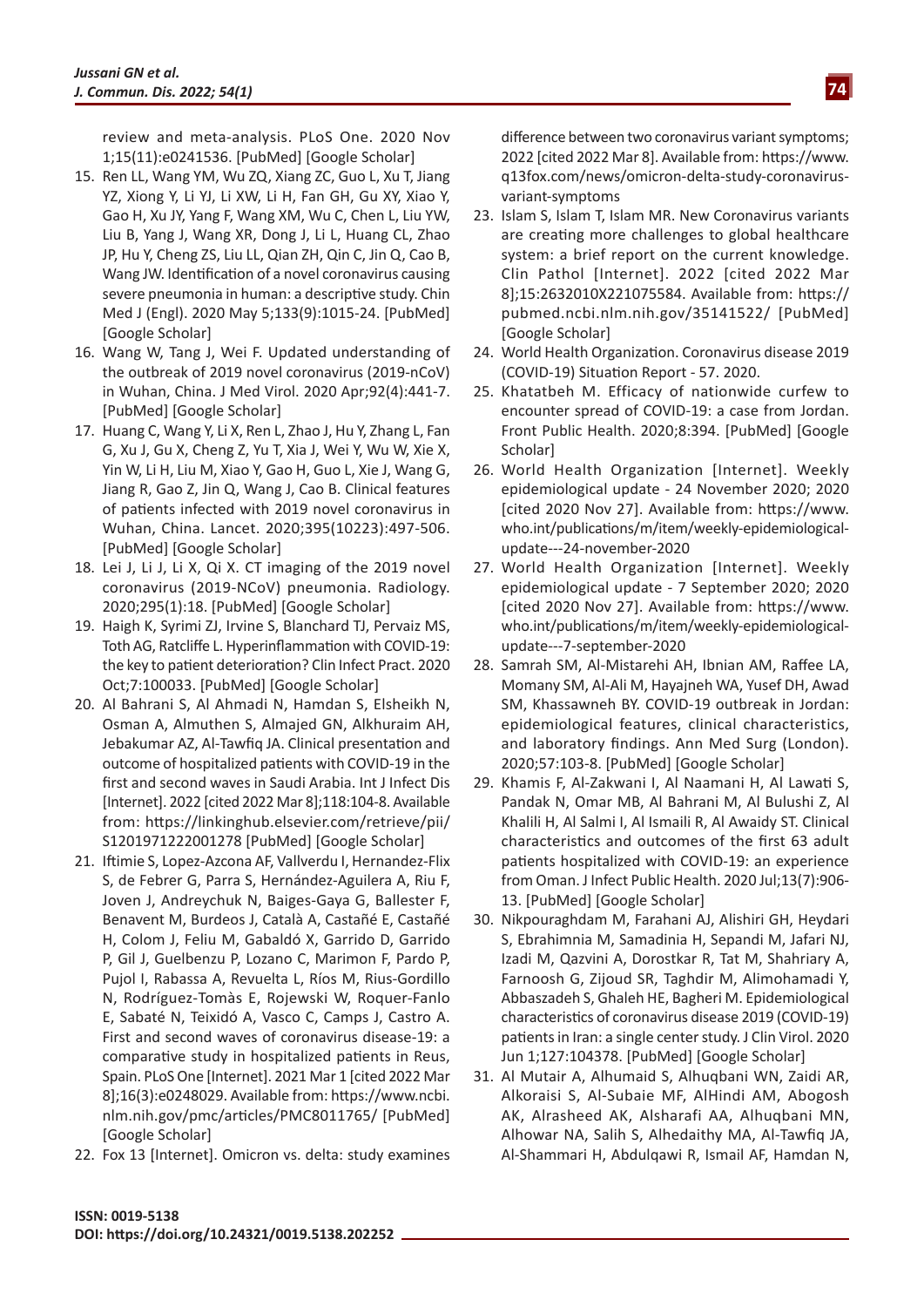review and meta-analysis. PLoS One. 2020 Nov 1;15(11):e0241536. [\[PubMed](https://pubmed.ncbi.nlm.nih.gov/33141862/)] [\[Google Scholar](https://scholar.google.com/scholar?hl=en&as_sdt=0%2C5&q=Proportion+of+asymptomatic+infection+among+COVID-19+positive+persons+and+their+transmission+potential%3A+A+systematic+review+and+meta-analysis&btnG=)]

- 15. Ren LL, Wang YM, Wu ZQ, Xiang ZC, Guo L, Xu T, Jiang YZ, Xiong Y, Li YJ, Li XW, Li H, Fan GH, Gu XY, Xiao Y, Gao H, Xu JY, Yang F, Wang XM, Wu C, Chen L, Liu YW, Liu B, Yang J, Wang XR, Dong J, Li L, Huang CL, Zhao JP, Hu Y, Cheng ZS, Liu LL, Qian ZH, Qin C, Jin Q, Cao B, Wang JW. Identification of a novel coronavirus causing severe pneumonia in human: a descriptive study. Chin Med J (Engl). 2020 May 5;133(9):1015-24. [[PubMed](https://pubmed.ncbi.nlm.nih.gov/32004165/)] [\[Google Scholar](https://scholar.google.com/scholar?hl=en&as_sdt=0%2C5&q=Identification+of+a+novel+coronavirus+causing+severe+pneumonia+in+human%3A+a+descriptive+study&btnG=)]
- 16. Wang W, Tang J, Wei F. Updated understanding of the outbreak of 2019 novel coronavirus (2019-nCoV) in Wuhan, China. J Med Virol. 2020 Apr;92(4):441-7. [\[PubMed](https://pubmed.ncbi.nlm.nih.gov/31994742/)] [\[Google Scholar](https://scholar.google.com/scholar?q=Updated+understanding+of+the+outbreak+of+2019+novel+coronavirus+(2019-nCoV)+in+Wuhan,+China&hl=en&as_sdt=0,5)]
- 17. Huang C, Wang Y, Li X, Ren L, Zhao J, Hu Y, Zhang L, Fan G, Xu J, Gu X, Cheng Z, Yu T, Xia J, Wei Y, Wu W, Xie X, Yin W, Li H, Liu M, Xiao Y, Gao H, Guo L, Xie J, Wang G, Jiang R, Gao Z, Jin Q, Wang J, Cao B. Clinical features of patients infected with 2019 novel coronavirus in Wuhan, China. Lancet. 2020;395(10223):497-506. [\[PubMed](https://pubmed.ncbi.nlm.nih.gov/31986264/)] [\[Google Scholar](https://scholar.google.com/scholar?hl=en&as_sdt=0%2C5&q=Clinical+features+of+patients+infected+with+2019+novel+coronavirus+in+Wuhan%2C+China&btnG=)]
- 18. Lei J, Li J, Li X, Qi X. CT imaging of the 2019 novel coronavirus (2019-NCoV) pneumonia. Radiology. 2020;295(1):18. [\[PubMed\]](https://pubmed.ncbi.nlm.nih.gov/32003646/) [\[Google Scholar](https://scholar.google.com/scholar?hl=en&as_sdt=0%2C5&q=CT+imaging+of+the+2019+novel+coronavirus+%282019-NCoV%29+pneumonia&btnG=)]
- 19. Haigh K, Syrimi ZJ, Irvine S, Blanchard TJ, Pervaiz MS, Toth AG, Ratcliffe L. Hyperinflammation with COVID-19: the key to patient deterioration? Clin Infect Pract. 2020 Oct;7:100033. [\[PubMed](https://pubmed.ncbi.nlm.nih.gov/32838293/)] [\[Google Scholar](https://scholar.google.com/scholar?hl=en&as_sdt=0%2C5&q=Hyperinflammation+with+COVID-19%3A+The+key+to+patient+deterioration%3F+&btnG=)]
- 20. Al Bahrani S, Al Ahmadi N, Hamdan S, Elsheikh N, Osman A, Almuthen S, Almajed GN, Alkhuraim AH, Jebakumar AZ, Al-Tawfiq JA. Clinical presentation and outcome of hospitalized patients with COVID-19 in the first and second waves in Saudi Arabia. Int J Infect Dis [Internet]. 2022 [cited 2022 Mar 8];118:104-8. Available from: [https://linkinghub.elsevier.com/retrieve/pii/](https://linkinghub.elsevier.com/retrieve/pii/S1201971222001278) [S1201971222001278](https://linkinghub.elsevier.com/retrieve/pii/S1201971222001278) [[PubMed\]](https://pubmed.ncbi.nlm.nih.gov/35227868/) [[Google Scholar](https://scholar.google.com/scholar?hl=en&as_sdt=0%2C5&q=Clinical+Presentation+and+Outcome+of+hospitalized+patients+with+COVID-19+in+the+first+and+second+wave+in+Saudi+Arabia&btnG=)]
- 21. Iftimie S, Lopez-Azcona AF, Vallverdu I, Hernandez-Flix S, de Febrer G, Parra S, Hernández-Aguilera A, Riu F, Joven J, Andreychuk N, Baiges-Gaya G, Ballester F, Benavent M, Burdeos J, Català A, Castañé E, Castañé H, Colom J, Feliu M, Gabaldó X, Garrido D, Garrido P, Gil J, Guelbenzu P, Lozano C, Marimon F, Pardo P, Pujol I, Rabassa A, Revuelta L, Ríos M, Rius-Gordillo N, Rodríguez-Tomàs E, Rojewski W, Roquer-Fanlo E, Sabaté N, Teixidó A, Vasco C, Camps J, Castro A. First and second waves of coronavirus disease-19: a comparative study in hospitalized patients in Reus, Spain. PLoS One [Internet]. 2021 Mar 1 [cited 2022 Mar 8];16(3):e0248029. Available from: [https://www.ncbi.](https://www.ncbi.nlm.nih.gov/pmc/articles/PMC8011765/) [nlm.nih.gov/pmc/articles/PMC8011765/](https://www.ncbi.nlm.nih.gov/pmc/articles/PMC8011765/) [[PubMed](https://pubmed.ncbi.nlm.nih.gov/33788866/)] [\[Google Scholar](https://scholar.google.com/scholar?hl=en&as_sdt=0%2C5&q=First+and+second+waves+of+coronavirus+disease-19%3A+A+comparative+study+in+hospitalized+patients+in+Reus%2C+Spain&btnG=)]
- 22. Fox 13 [Internet]. Omicron vs. delta: study examines

difference between two coronavirus variant symptoms; 2022 [cited 2022 Mar 8]. Available from: https://www. q13fox.com/news/omicron-delta-study-coronavirusvariant-symptoms

- 23. Islam S, Islam T, Islam MR. New Coronavirus variants are creating more challenges to global healthcare system: a brief report on the current knowledge. Clin Pathol [Internet]. 2022 [cited 2022 Mar 8];15:2632010X221075584. Available from: [https://](https://pubmed.ncbi.nlm.nih.gov/35141522/) [pubmed.ncbi.nlm.nih.gov/35141522/](https://pubmed.ncbi.nlm.nih.gov/35141522/) [[PubMed](https://pubmed.ncbi.nlm.nih.gov/35141522/)] [\[Google Scholar](https://scholar.google.com/scholar?hl=en&as_sdt=0%2C5&q=New+Coronavirus+Variants+are+Creating+More+Challenges+to+Global+Healthcare+System%3A+A+Brief+Report+on+the+Current+Knowledge&btnG=)]
- 24. World Health Organization. Coronavirus disease 2019 (COVID-19) Situation Report - 57. 2020.
- 25. Khatatbeh M. Efficacy of nationwide curfew to encounter spread of COVID-19: a case from Jordan. Front Public Health. 2020;8:394. [[PubMed](https://pubmed.ncbi.nlm.nih.gov/32984234/)] [[Google](https://scholar.google.com/scholar?hl=en&as_sdt=0%2C5&q=Efficacy+of+Nationwide+Curfew+to+Encounter+Spread+of+COVID-19%3A+A+Case+From+Jordan&btnG=) [Scholar\]](https://scholar.google.com/scholar?hl=en&as_sdt=0%2C5&q=Efficacy+of+Nationwide+Curfew+to+Encounter+Spread+of+COVID-19%3A+A+Case+From+Jordan&btnG=)
- 26. World Health Organization [Internet]. Weekly epidemiological update - 24 November 2020; 2020 [cited 2020 Nov 27]. Available from: https://www. who.int/publications/m/item/weekly-epidemiologicalupdate---24-november-2020
- 27. World Health Organization [Internet]. Weekly epidemiological update - 7 September 2020; 2020 [cited 2020 Nov 27]. Available from: https://www. who.int/publications/m/item/weekly-epidemiologicalupdate---7-september-2020
- 28. Samrah SM, Al-Mistarehi AH, Ibnian AM, Raffee LA, Momany SM, Al-Ali M, Hayajneh WA, Yusef DH, Awad SM, Khassawneh BY. COVID-19 outbreak in Jordan: epidemiological features, clinical characteristics, and laboratory findings. Ann Med Surg (London). 2020;57:103-8. [\[PubMed\]](https://pubmed.ncbi.nlm.nih.gov/32742648/) [\[Google Scholar](https://scholar.google.com/scholar?hl=en&as_sdt=0%2C5&q=COVID-19+outbreak+in+Jordan%3A+Epidemiological+features%2C+clinical+characteristics%2C+and+laboratory+findings&btnG=)]
- 29. Khamis F, Al-Zakwani I, Al Naamani H, Al Lawati S, Pandak N, Omar MB, Al Bahrani M, Al Bulushi Z, Al Khalili H, Al Salmi I, Al Ismaili R, Al Awaidy ST. Clinical characteristics and outcomes of the first 63 adult patients hospitalized with COVID-19: an experience from Oman. J Infect Public Health. 2020 Jul;13(7):906- 13. [\[PubMed](https://pubmed.ncbi.nlm.nih.gov/32546437/)] [\[Google Scholar](https://scholar.google.com/scholar?hl=en&as_sdt=0%2C5&q=Clinical+characteristics+and+outcomes+of+the+first+63+adult+patients+hospitalized+with+COVID-19%3A+An+experience+from+Oman&btnG=)]
- 30. Nikpouraghdam M, Farahani AJ, Alishiri GH, Heydari S, Ebrahimnia M, Samadinia H, Sepandi M, Jafari NJ, Izadi M, Qazvini A, Dorostkar R, Tat M, Shahriary A, Farnoosh G, Zijoud SR, Taghdir M, Alimohamadi Y, Abbaszadeh S, Ghaleh HE, Bagheri M. Epidemiological characteristics of coronavirus disease 2019 (COVID-19) patients in Iran: a single center study. J Clin Virol. 2020 Jun 1;127:104378. [[PubMed](https://pubmed.ncbi.nlm.nih.gov/32353762/)] [[Google Scholar](https://scholar.google.com/scholar?hl=en&as_sdt=0%2C5&q=Epidemiological+characteristics+of+coronavirus+disease+2019+%28COVID-19%29+patients+in+IRAN%3A+A+single+center+study&btnG=)]
- 31. Al Mutair A, Alhumaid S, Alhuqbani WN, Zaidi AR, Alkoraisi S, Al-Subaie MF, AlHindi AM, Abogosh AK, Alrasheed AK, Alsharafi AA, Alhuqbani MN, Alhowar NA, Salih S, Alhedaithy MA, Al-Tawfiq JA, Al-Shammari H, Abdulqawi R, Ismail AF, Hamdan N,